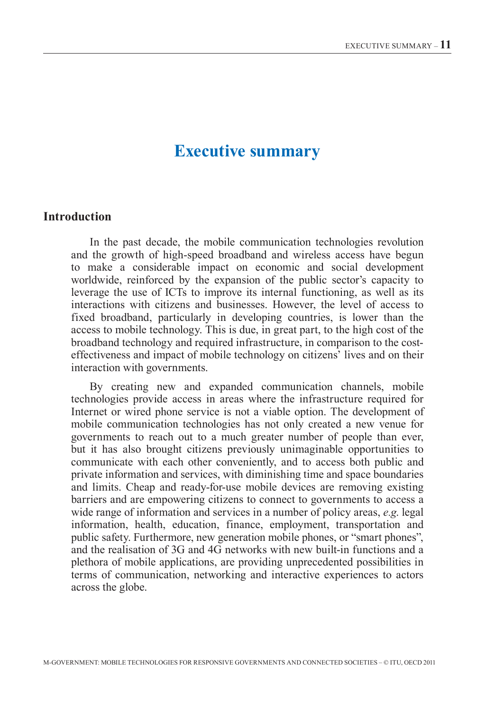# **Executive summary**

#### **Introduction**

In the past decade, the mobile communication technologies revolution and the growth of high-speed broadband and wireless access have begun to make a considerable impact on economic and social development worldwide, reinforced by the expansion of the public sector's capacity to leverage the use of ICTs to improve its internal functioning, as well as its interactions with citizens and businesses. However, the level of access to fixed broadband, particularly in developing countries, is lower than the access to mobile technology. This is due, in great part, to the high cost of the broadband technology and required infrastructure, in comparison to the costeffectiveness and impact of mobile technology on citizens' lives and on their interaction with governments.

By creating new and expanded communication channels, mobile technologies provide access in areas where the infrastructure required for Internet or wired phone service is not a viable option. The development of mobile communication technologies has not only created a new venue for governments to reach out to a much greater number of people than ever, but it has also brought citizens previously unimaginable opportunities to communicate with each other conveniently, and to access both public and private information and services, with diminishing time and space boundaries and limits. Cheap and ready-for-use mobile devices are removing existing barriers and are empowering citizens to connect to governments to access a wide range of information and services in a number of policy areas, *e.g*. legal information, health, education, finance, employment, transportation and public safety. Furthermore, new generation mobile phones, or "smart phones", and the realisation of 3G and 4G networks with new built-in functions and a plethora of mobile applications, are providing unprecedented possibilities in terms of communication, networking and interactive experiences to actors across the globe.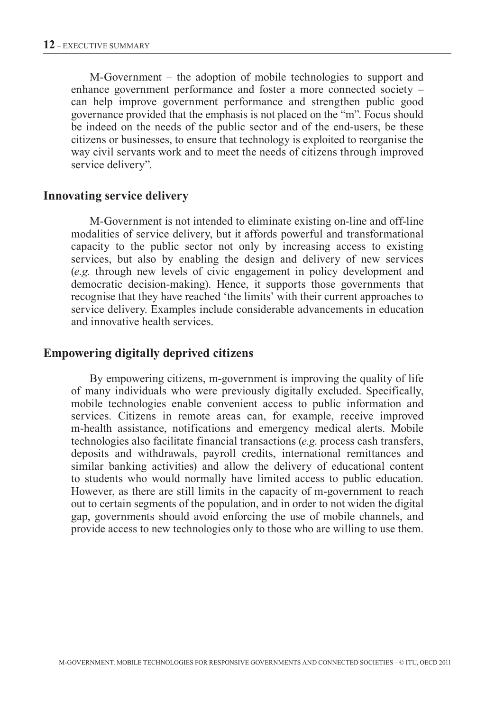M-Government – the adoption of mobile technologies to support and enhance government performance and foster a more connected society – can help improve government performance and strengthen public good governance provided that the emphasis is not placed on the "m". Focus should be indeed on the needs of the public sector and of the end-users, be these citizens or businesses, to ensure that technology is exploited to reorganise the way civil servants work and to meet the needs of citizens through improved service delivery".

### **Innovating service delivery**

M-Government is not intended to eliminate existing on-line and off-line modalities of service delivery, but it affords powerful and transformational capacity to the public sector not only by increasing access to existing services, but also by enabling the design and delivery of new services (*e.g.* through new levels of civic engagement in policy development and democratic decision-making). Hence, it supports those governments that recognise that they have reached 'the limits' with their current approaches to service delivery. Examples include considerable advancements in education and innovative health services.

## **Empowering digitally deprived citizens**

By empowering citizens, m-government is improving the quality of life of many individuals who were previously digitally excluded. Specifically, mobile technologies enable convenient access to public information and services. Citizens in remote areas can, for example, receive improved m-health assistance, notifications and emergency medical alerts. Mobile technologies also facilitate financial transactions (*e.g*. process cash transfers, deposits and withdrawals, payroll credits, international remittances and similar banking activities) and allow the delivery of educational content to students who would normally have limited access to public education. However, as there are still limits in the capacity of m-government to reach out to certain segments of the population, and in order to not widen the digital gap, governments should avoid enforcing the use of mobile channels, and provide access to new technologies only to those who are willing to use them.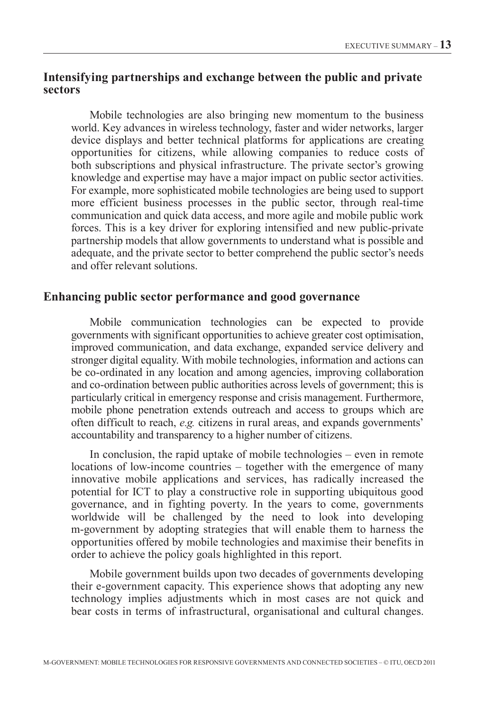## **Intensifying partnerships and exchange between the public and private sectors**

Mobile technologies are also bringing new momentum to the business world. Key advances in wireless technology, faster and wider networks, larger device displays and better technical platforms for applications are creating opportunities for citizens, while allowing companies to reduce costs of both subscriptions and physical infrastructure. The private sector's growing knowledge and expertise may have a major impact on public sector activities. For example, more sophisticated mobile technologies are being used to support more efficient business processes in the public sector, through real-time communication and quick data access, and more agile and mobile public work forces. This is a key driver for exploring intensified and new public-private partnership models that allow governments to understand what is possible and adequate, and the private sector to better comprehend the public sector's needs and offer relevant solutions.

### **Enhancing public sector performance and good governance**

Mobile communication technologies can be expected to provide governments with significant opportunities to achieve greater cost optimisation, improved communication, and data exchange, expanded service delivery and stronger digital equality. With mobile technologies, information and actions can be co-ordinated in any location and among agencies, improving collaboration and co-ordination between public authorities across levels of government; this is particularly critical in emergency response and crisis management. Furthermore, mobile phone penetration extends outreach and access to groups which are often difficult to reach, *e.g.* citizens in rural areas, and expands governments' accountability and transparency to a higher number of citizens.

In conclusion, the rapid uptake of mobile technologies – even in remote locations of low-income countries – together with the emergence of many innovative mobile applications and services, has radically increased the potential for ICT to play a constructive role in supporting ubiquitous good governance, and in fighting poverty. In the years to come, governments worldwide will be challenged by the need to look into developing m-government by adopting strategies that will enable them to harness the opportunities offered by mobile technologies and maximise their benefits in order to achieve the policy goals highlighted in this report.

Mobile government builds upon two decades of governments developing their e-government capacity. This experience shows that adopting any new technology implies adjustments which in most cases are not quick and bear costs in terms of infrastructural, organisational and cultural changes.